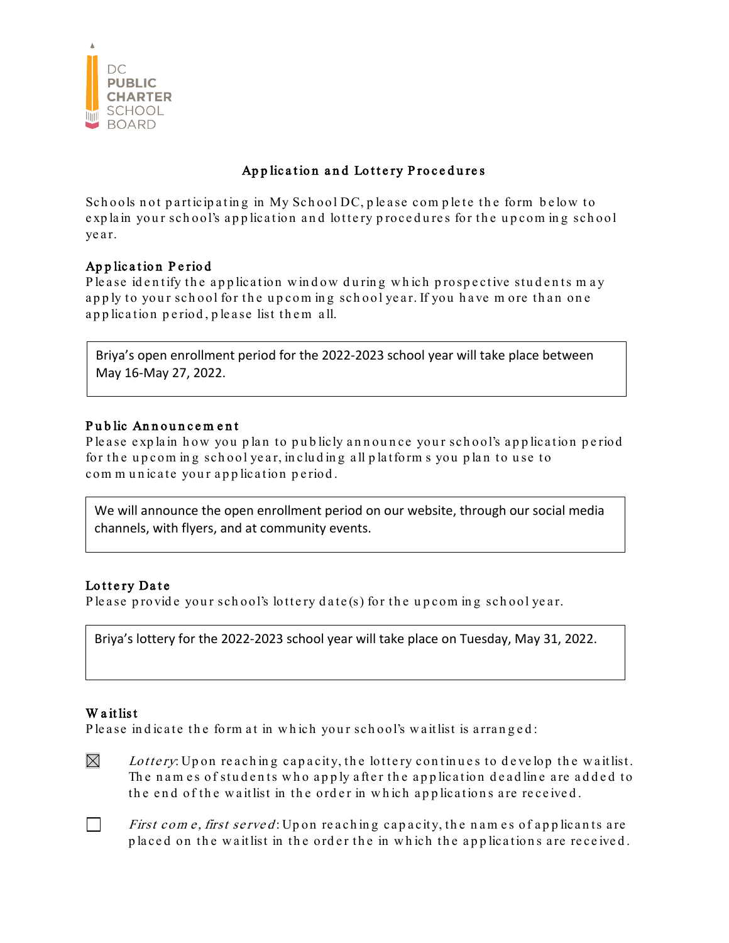

# Application and Lottery Procedures

Schools not participating in My School DC, please complete the form below to explain your school's application and lottery procedures for the upcoming school year.

## Application Period

P lease identify the application window during which prospective students may apply to your school for the upcoming school year. If you have more than one application period, please list them all.

Briya's open enrollment period for the 2022-2023 school year will take place between May 16-May 27, 2022.

#### Public Announcement

P le a se explain how you plan to publicly announce your school's application period for the upcoming school year, including all platforms you plan to use to com m unicate your application period.

We will announce the open enrollment period on our website, through our social media channels, with flyers, and at community events.

### Lottery Date

P lease provide your school's lottery date(s) for the upcoming school year.

Briya's lottery for the 2022-2023 school year will take place on Tuesday, May 31, 2022.

### W a it list

P lease in dicate the form at in which your school's wait list is arranged:

 $\boxtimes$ Lottery: Up on reaching capacity, the lottery continues to develop the waitlist. The names of students who apply after the application deadline are added to the end of the wait list in the order in which applications are received.

 $\Box$ First com e, first served: Upon reaching capacity, the names of applicants are placed on the wait list in the order the in which the applications are received.